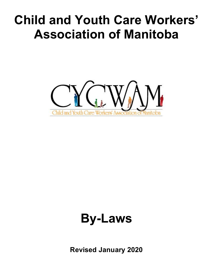# **Child and Youth Care Workers' Association of Manitoba**



# **By-Laws**

**Revised January 2020**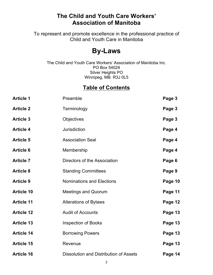### **The Child and Youth Care Workers' Association of Manitoba**

To represent and promote excellence in the professional practice of Child and Youth Care in Manitoba

## **By-Laws**

The Child and Youth Care Workers' Association of Manitoba Inc. PO Box 54024 Silver Heights PO Winnipeg, MB. R3J 0L5

### **Table of Contents**

| <b>Article 1</b>  | Preamble                               | Page 3  |
|-------------------|----------------------------------------|---------|
| <b>Article 2</b>  | Terminology                            | Page 3  |
| <b>Article 3</b>  | <b>Objectives</b>                      | Page 3  |
| <b>Article 4</b>  | Jurisdiction                           | Page 4  |
| <b>Article 5</b>  | <b>Association Seal</b>                | Page 4  |
| <b>Article 6</b>  | Membership                             | Page 4  |
| <b>Article 7</b>  | Directors of the Association           | Page 6  |
| <b>Article 8</b>  | <b>Standing Committees</b>             | Page 9  |
| <b>Article 9</b>  | <b>Nominations and Elections</b>       | Page 10 |
| <b>Article 10</b> | <b>Meetings and Quorum</b>             | Page 11 |
| <b>Article 11</b> | <b>Alterations of Bylaws</b>           | Page 12 |
| <b>Article 12</b> | <b>Audit of Accounts</b>               | Page 13 |
| <b>Article 13</b> | <b>Inspection of Books</b>             | Page 13 |
| <b>Article 14</b> | <b>Borrowing Powers</b>                | Page 13 |
| <b>Article 15</b> | Revenue                                | Page 13 |
| <b>Article 16</b> | Dissolution and Distribution of Assets | Page 14 |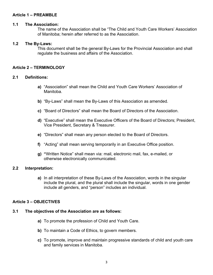#### **Article 1 – PREAMBLE**

#### **1.1 The Association:**

The name of the Association shall be "The Child and Youth Care Workers' Association of Manitoba; herein after referred to as the Association.

#### **1.2 The By-Laws:**

This document shall be the general By-Laws for the Provincial Association and shall regulate the business and affairs of the Association.

#### **Article 2 – TERMINOLOGY**

#### **2.1 Definitions:**

- **a)** "Association" shall mean the Child and Youth Care Workers' Association of Manitoba.
- **b)** "By-Laws" shall mean the By-Laws of this Association as amended.
- **c)** "Board of Directors" shall mean the Board of Directors of the Association.
- **d)** "Executive" shall mean the Executive Officers of the Board of Directors; President, Vice President, Secretary & Treasurer.
- **e)** "Directors" shall mean any person elected to the Board of Directors.
- **f)** "Acting" shall mean serving temporarily in an Executive Office position.
- **g) "**Written Notice" shall mean via: mail, electronic mail, fax, e-mailed, or otherwise electronically communicated.

#### **2.2 Interpretation:**

**a)** In all interpretation of these By-Laws of the Association, words in the singular include the plural, and the plural shall include the singular, words in one gender include all genders, and "person" includes an individual.

#### **Article 3 – OBJECTIVES**

#### **3.1 The objectives of the Association are as follows:**

- **a)** To promote the profession of Child and Youth Care.
- **b)** To maintain a Code of Ethics, to govern members.
- **c)** To promote, improve and maintain progressive standards of child and youth care and family services in Manitoba.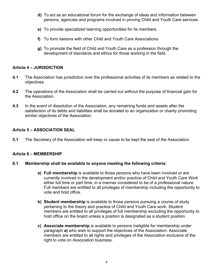- **d)** To act as an educational forum for the exchange of ideas and information between persons, agencies and programs involved in proving Child and Youth Care services.
- **e)** To provide specialized learning opportunities for its members.
- **f)** To form liaisons with other Child and Youth Care Associations.
- **g)** To promote the field of Child and Youth Care as a profession through the development of standards and ethics for those working in the field.

#### **Article 4 – JURISDICTION**

- **4.1** The Association has jurisdiction over the professional activities of its members as related to the objectives.
- **4.2** The operations of the Association shall be carried out without the purpose of financial gain for the Association.
- **4.3** In the event of dissolution of the Association, any remaining funds and assets after the satisfaction of its debts and liabilities shall be donated to an organization or charity promoting similar objectives of the Association.

#### **Article 5 – ASSOCIATION SEAL**

**5.1** The Secretary of the Association will keep or cause to be kept the seal of the Association.

#### **Article 6 – MEMBERSHIP**

#### **6.1 Membership shall be available to anyone meeting the following criteria:**

- **a) Full membership** is available to those persons who have been involved or are currently involved in the development and/or practice of Child and Youth Care Work either full time or part time, in a manner considered to be of a professional nature. Full members are entitled to all privileges of membership including the opportunity to vote and hold office.
- **b) Student membership** is available to those persons pursuing a course of study pertaining to the theory and practice of Child and Youth Care work. Student members are entitled to all privileges of full membership excluding the opportunity to hold office on the board unless a position is designated as a student position.
- **c) Associate membership** is available to persons ineligible for membership under paragraph **a)** who wish to support the objectives of the Association. Associate members are entitled to all rights and privileges of the Association exclusive of the right to vote on Association business.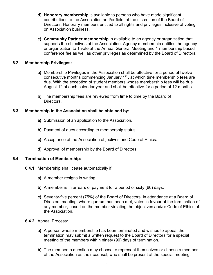- **d) Honorary membership** is available to persons who have made significant contributions to the Association and/or field, at the discretion of the Board of Directors. Honorary members entitled to all rights and privileges inclusive of voting on Association business.
- **e) Community Partner membership** in available to an agency or organization that supports the objectives of the Association. Agency membership entitles the agency or organization to 1 vote at the Annual General Meeting and 1 membership based conference fee as well as other privileges as determined by the Board of Directors.

#### **6.2 Membership Privileges:**

- **a)** Membership Privileges in the Association shall be effective for a period of twelve consecutive months commencing January 1<sup>st</sup>, at which time membership fees are due. With the exception of student members whose membership fees will be due August  $1<sup>st</sup>$  of each calendar year and shall be effective for a period of 12 months.
- **b)** The membership fees are reviewed from time to time by the Board of Directors.

#### **6.3 Membership in the Association shall be obtained by:**

- **a)** Submission of an application to the Association.
- **b)** Payment of dues according to membership status.
- **c)** Acceptance of the Association objectives and Code of Ethics.
- **d)** Approval of membership by the Board of Directors.

#### **6.4 Termination of Membership:**

- **6.4.1** Membership shall cease automatically if:
	- **a)** A member resigns in writing.
	- **b)** A member is in arrears of payment for a period of sixty (60) days.
	- **c)** Seventy-five percent (75%) of the Board of Directors, in attendance at a Board of Directors meeting, where quorum has been met, votes in favour of the termination of any member, based on the member violating the objectives and/or Code of Ethics of the Association.
- **6.4.2** Appeal Process:
	- **a)** A person whose membership has been terminated and wishes to appeal the termination may submit a written request to the Board of Directors for a special meeting of the members within ninety (90) days of termination.
	- **b)** The member in question may choose to represent themselves or choose a member of the Association as their counsel, who shall be present at the special meeting.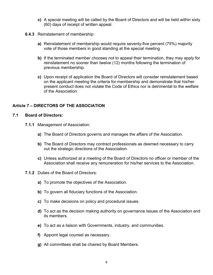- **c)** A special meeting will be called by the Board of Directors and will be held within sixty (60) days of receipt of written appeal.
- **6.4.3** Reinstatement of membership:
	- **a)** Reinstatement of membership would require seventy-five percent (75%) majority vote of those members in good standing at the special meeting.
	- **b)** If the terminated member chooses not to appeal their termination, they may apply for reinstatement no sooner than twelve (12) months following the termination of previous membership.
	- **c)** Upon receipt of application the Board of Directors will consider reinstatement based on the applicant meeting the criteria for membership and demonstrate that his/her present conduct does not violate the Code of Ethics nor is detrimental to the welfare of the Association.

#### **Article 7 – DIRECTORS OF THE ASSOCIATION**

#### **7.1 Board of Directors:**

- **7.1.1** Management of Association:
	- **a)** The Board of Directors governs and manages the affairs of the Association.
	- **b)** The Board of Directors may contract professionals as deemed necessary to carry out the strategic directions of the Association.
	- **c)** Unless authorized at a meeting of the Board of Directors no officer or member of the Association shall receive any remuneration for his/her services to the Association.
- **7.1.2** Duties of the Board of Directors:
	- **a)** To promote the objectives of the Association.
	- **b)** To govern all fiduciary functions of the Association.
	- **c)** To make decisions on policy and procedural issues.
	- **d)** To act as the decision making authority on governance issues of the Association and its members.
	- **e)** To act as a liaison with Governments, industry, and communities.
	- **f)** Appoint legal counsel as necessary.
	- **g)** All committees shall be chaired by Board Members.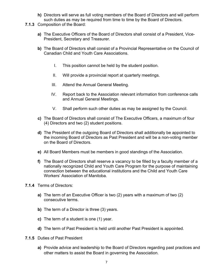- **h)** Directors will serve as full voting members of the Board of Directors and will perform such duties as may be required from time to time by the Board of Directors.
- **7.1.3** Composition of the Board:
	- **a)** The Executive Officers of the Board of Directors shall consist of a President, Vice-President, Secretary and Treasurer.
	- **b)** The Board of Directors shall consist of a Provincial Representative on the Council of Canadian Child and Youth Care Associations.
		- I. This position cannot be held by the student position.
		- II. Will provide a provincial report at quarterly meetings.
		- III. Attend the Annual General Meeting.
		- IV. Report back to the Association relevant information from conference calls and Annual General Meetings.
		- V. Shall perform such other duties as may be assigned by the Council.
	- **c)** The Board of Directors shall consist of The Executive Officers, a maximum of four (4) Directors and two (2) student positions.
	- **d)** The President of the outgoing Board of Directors shall additionally be appointed to the incoming Board of Directors as Past President and will be a non-voting member on the Board of Directors.
	- **e)** All Board Members must be members in good standings of the Association.
	- **f)** The Board of Directors shall reserve a vacancy to be filled by a faculty member of a nationally recognized Child and Youth Care Program for the purpose of maintaining connection between the educational institutions and the Child and Youth Care Workers' Association of Manitoba.
- **7.1.4** Terms of Directors:
	- **a)** The term of an Executive Officer is two (2) years with a maximum of two (2) consecutive terms.
	- **b)** The term of a Director is three (3) years.
	- **c)** The term of a student is one (1) year.
	- **d)** The term of Past President is held until another Past President is appointed.
- **7.1.5** Duties of Past President
	- **a)** Provide advice and leadership to the Board of Directors regarding past practices and other matters to assist the Board in governing the Association.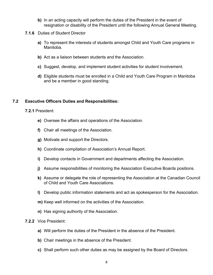- **b)** In an acting capacity will perform the duties of the President in the event of resignation or disability of the President until the following Annual General Meeting.
- **7.1.6** Duties of Student Director
	- **a)** To represent the interests of students amongst Child and Youth Care programs in Manitoba.
	- **b)** Act as a liaison between students and the Association.
	- **c)** Suggest, develop, and implement student activities for student involvement.
	- **d)** Eligible students must be enrolled in a Child and Youth Care Program in Manitoba and be a member in good standing.

#### **7.2 Executive Officers Duties and Responsibilities:**

**7.2.1** President:

- **e)** Oversee the affairs and operations of the Association.
- **f)** Chair all meetings of the Association.
- **g)** Motivate and support the Directors.
- **h)** Coordinate compilation of Association's Annual Report.
- **i)** Develop contacts in Government and departments affecting the Association.
- **j)** Assume responsibilities of monitoring the Association Executive Boards positions.
- **k)** Assume or delegate the role of representing the Association at the Canadian Council of Child and Youth Care Associations.
- **l)** Develop public information statements and act as spokesperson for the Association.
- **m)** Keep well informed on the activities of the Association.
- **n)** Has signing authority of the Association.
- **7.2.2** Vice President:
	- **a)** Will perform the duties of the President in the absence of the President.
	- **b)** Chair meetings in the absence of the President.
	- **c)** Shall perform such other duties as may be assigned by the Board of Directors.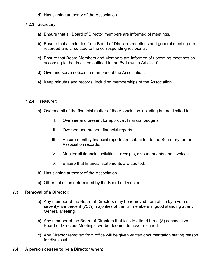**d)** Has signing authority of the Association.

#### **7.2.3** Secretary:

- **a)** Ensure that all Board of Director members are informed of meetings.
- **b)** Ensure that all minutes from Board of Directors meetings and general meeting are recorded and circulated to the corresponding recipients.
- **c)** Ensure that Board Members and Members are informed of upcoming meetings as according to the timelines outlined in the By-Laws in Article 10.
- **d)** Give and serve notices to members of the Association.
- **e)** Keep minutes and records; including memberships of the Association.

#### **7.2.4** Treasurer:

- **a)** Oversee all of the financial matter of the Association including but not limited to:
	- I. Oversee and present for approval, financial budgets.
	- II. Oversee and present financial reports.
	- III. Ensure monthly financial reports are submitted to the Secretary for the Association records.
	- IV. Monitor all financial activities receipts, disbursements and invoices.
	- V. Ensure that financial statements are audited.
- **b)** Has signing authority of the Association.
- **c)** Other duties as determined by the Board of Directors.

#### **7.3 Removal of a Director:**

- **a)** Any member of the Board of Directors may be removed from office by a vote of seventy-five percent (75%) majorities of the full members in good standing at any General Meeting.
- **b)** Any member of the Board of Directors that fails to attend three (3) consecutive Board of Directors Meetings, will be deemed to have resigned.
- **c)** Any Director removed from office will be given written documentation stating reason for dismissal.
- **7.4 A person ceases to be a Director when:**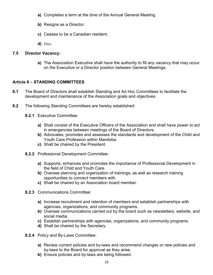- **a)** Completes a term at the time of the Annual General Meeting.
- **b)** Resigns as a Director.
- **c)** Ceases to be a Canadian resident.
- **d)** Dies.

#### **7.5 Director Vacancy:**

**a)** The Association Executive shall have the authority to fill any vacancy that may occur on the Executive or a Director position between General Meetings.

#### **Article 8 – STANDING COMMITTEES**

- **8.1** The Board of Directors shall establish Standing and Ad Hoc Committees to facilitate the development and maintenance of the Association goals and objectives.
- **8.2** The following Standing Committees are hereby established:
	- **8.2.1** Executive Committee:
		- **a)** Shall consist of the Executive Officers of the Association and shall have power to act in emergencies between meetings of the Board of Directors.
		- **b)** Advocates, promotes and assesses the standards and development of the Child and Youth Care Profession within Manitoba.
		- **c)** Shall be chaired by the President.
	- **8.2.2** Professional Development Committee:
		- **a)** Supports, enhances and promotes the importance of Professional Development in the field of Child and Youth Care.
		- **b)** Oversee planning and organization of trainings; as well as research training opportunities to connect members with.
		- **c)** Shall be chaired by an Association board member.
	- **8.2.3** Communications Committee:
		- **a)** Increase recruitment and retention of members and establish partnerships with agencies, organizations, and community programs.
		- **b)** Oversee communications carried out by the board such as newsletters, website, and social media.
		- **c)** Establish partnerships with agencies, organizations, and community programs.
		- **d)** Shall be chaired by the Secretary.
	- **8.2.4** Policy and By-Laws Committee:
		- **a)** Review current policies and by-laws and recommend changes or new policies and by-laws to the Board for approval as they arise.
		- **b)** Ensure policies and by-laws are being followed.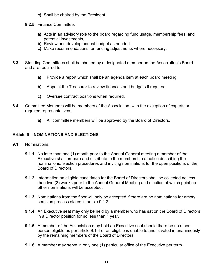- **c)** Shall be chaired by the President.
- **8.2.5** Finance Committee:
	- **a)** Acts in an advisory role to the board regarding fund usage, membership fees, and potential investments,
	- **b)** Review and develop annual budget as needed.
	- **c)** Make recommendations for funding adjustments where necessary.
- **8.3** Standing Committees shall be chaired by a designated member on the Association's Board and are required to:
	- **a)** Provide a report which shall be an agenda item at each board meeting.
	- **b)** Appoint the Treasurer to review finances and budgets if required.
	- **c)** Oversee contract positions when required.
- **8.4** Committee Members will be members of the Association, with the exception of experts or required representatives.
	- **a)** All committee members will be approved by the Board of Directors.

#### **Article 9 – NOMINATIONS AND ELECTIONS**

- **9.1** Nominations:
	- **9.1.1** No later than one (1) month prior to the Annual General meeting a member of the Executive shall prepare and distribute to the membership a notice describing the nominations, election procedures and inviting nominations for the open positions of the Board of Directors.
	- **9.1.2** Information on eligible candidates for the Board of Directors shall be collected no less than two (2) weeks prior to the Annual General Meeting and election at which point no other nominations will be accepted.
	- **9.1.3** Nominations from the floor will only be accepted if there are no nominations for empty seats as process states in article 9.1.2.
	- **9.1.4** An Executive seat may only be held by a member who has sat on the Board of Directors in a Director position for no less than 1 year.
	- **9.1.5.** A member of the Association may hold an Executive seat should there be no other person eligible as per article 9.1.4 or an eligible is unable to and is voted in unanimously by the remaining members of the Board of Directors.
	- **9.1.6** A member may serve in only one (1) particular office of the Executive per term.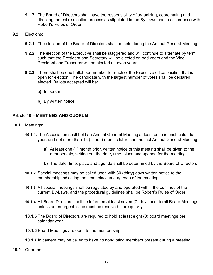- **9.1.7** The Board of Directors shall have the responsibility of organizing, coordinating and directing the entire election process as stipulated in the By-Laws and in accordance with Robert's Rules of Order.
- **9.2** Elections:
	- **9.2.1** The election of the Board of Directors shall be held during the Annual General Meeting.
	- **9.2.2** The election of the Executive shall be staggered and will continue to alternate by term, such that the President and Secretary will be elected on odd years and the Vice President and Treasurer will be elected on even years.
	- **9.2.3** There shall be one ballot per member for each of the Executive office position that is open for election. The candidate with the largest number of votes shall be declared elected. Ballots accepted will be:
		- **a)** In person.
		- **b)** By written notice.

#### **Article 10 – MEETINGS AND QUORUM**

- **10.1** Meetings:
	- **10.1.1.** The Association shall hold an Annual General Meeting at least once in each calendar year, and not more than 15 (fifteen) months later than the last Annual General Meeting.
		- **a)** At least one (1) month prior, written notice of this meeting shall be given to the membership, setting out the date, time, place and agenda for the meeting.
		- **b)** The date, time, place and agenda shall be determined by the Board of Directors.
	- **10.1.2** Special meetings may be called upon with 30 (thirty) days written notice to the membership indicating the time, place and agenda of the meeting.
	- **10.1.3** All special meetings shall be regulated by and operated within the confines of the current By-Laws, and the procedural guidelines shall be Robert's Rules of Order.
	- **10.1.4** All Board Directors shall be informed at least seven (7) days prior to all Board Meetings unless an emergent issue must be resolved more quickly.
	- **10.1.5** The Board of Directors are required to hold at least eight (8) board meetings per calendar year.
	- **10.1.6** Board Meetings are open to the membership.
	- **10.1.7** In camera may be called to have no non-voting members present during a meeting.
- **10.2** Quorum: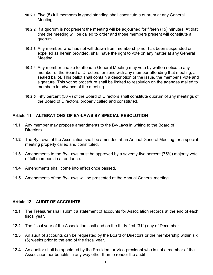- **10.2.1** Five (5) full members in good standing shall constitute a quorum at any General Meeting.
- **10.2.2** If a quorum is not present the meeting will be adjourned for fifteen (15) minutes. At that time the meeting will be called to order and those members present will constitute a quorum.
- **10.2.3** Any member, who has not withdrawn from membership nor has been suspended or expelled as herein provided, shall have the right to vote on any matter at any General Meeting.
- **10.2.4** Any member unable to attend a General Meeting may vote by written notice to any member of the Board of Directors, or send with any member attending that meeting, a sealed ballot. This ballot shall contain a description of the issue, the member's vote and signature. This voting procedure shall be limited to resolution on the agendas mailed to members in advance of the meeting.
- **10.2.5** Fifty percent (50%) of the Board of Directors shall constitute quorum of any meetings of the Board of Directors, properly called and constituted.

#### **Article 11 – ALTERATIONS OF BY-LAWS BY SPECIAL RESOLUTION**

- **11.1** Any member may propose amendments to the By-Laws in writing to the Board of Directors.
- **11.2** The By-Laws of the Association shall be amended at an Annual General Meeting, or a special meeting properly called and constituted.
- **11.3** Amendments to the By-Laws must be approved by a seventy-five percent (75%) majority vote of full members in attendance.
- **11.4** Amendments shall come into effect once passed.
- **11.5** Amendments of the By-Laws will be presented at the Annual General meeting.

#### **Article 12 – AUDIT OF ACCOUNTS**

- **12.1** The Treasurer shall submit a statement of accounts for Association records at the end of each fiscal year.
- **12.2** The fiscal year of the Association shall end on the thirty-first (31<sup>st</sup>) day of December.
- **12.3** An audit of accounts can be requested by the Board of Directors or the membership within six (6) weeks prior to the end of the fiscal year.
- **12.4** An auditor shall be appointed by the President or Vice-president who is not a member of the Association nor benefits in any way other than to render the audit.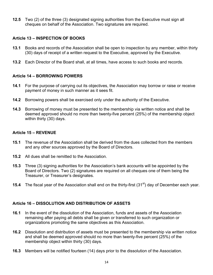**12.5** Two (2) of the three (3) designated signing authorities from the Executive must sign all cheques on behalf of the Association. Two signatures are required.

#### **Article 13 – INSPECTION OF BOOKS**

- **13.1** Books and records of the Association shall be open to inspection by any member, within thirty (30) days of receipt of a written request to the Executive, approved by the Executive.
- **13.2** Each Director of the Board shall, at all times, have access to such books and records.

#### **Article 14 – BORROWING POWERS**

- **14.1** For the purpose of carrying out its objectives, the Association may borrow or raise or receive payment of money in such manner as it sees fit.
- **14.2** Borrowing powers shall be exercised only under the authority of the Executive.
- **14.3** Borrowing of money must be presented to the membership via written notice and shall be deemed approved should no more than twenty-five percent (25%) of the membership object within thirty (30) days.

#### **Article 15 – REVENUE**

- **15.1** The revenue of the Association shall be derived from the dues collected from the members and any other sources approved by the Board of Directors.
- **15.2** All dues shall be remitted to the Association.
- **15.3** Three (3) signing authorities for the Association's bank accounts will be appointed by the Board of Directors. Two (2) signatures are required on all cheques one of them being the Treasurer, or Treasurer's designates.
- **15.4** The fiscal year of the Association shall end on the thirty-first (31<sup>st</sup>) day of December each year.

#### **Article 16 – DISSOLUTION AND DISTRIBUTION OF ASSETS**

- **16.1** In the event of the dissolution of the Association, funds and assets of the Association remaining after paying all debts shall be given or transferred to such organization or organizations promoting the same objectives as this Association.
- **16.2** Dissolution and distribution of assets must be presented to the membership via written notice and shall be deemed approved should no more than twenty-five percent (25%) of the membership object within thirty (30) days.
- **16.3** Members will be notified fourteen (14) days prior to the dissolution of the Association.